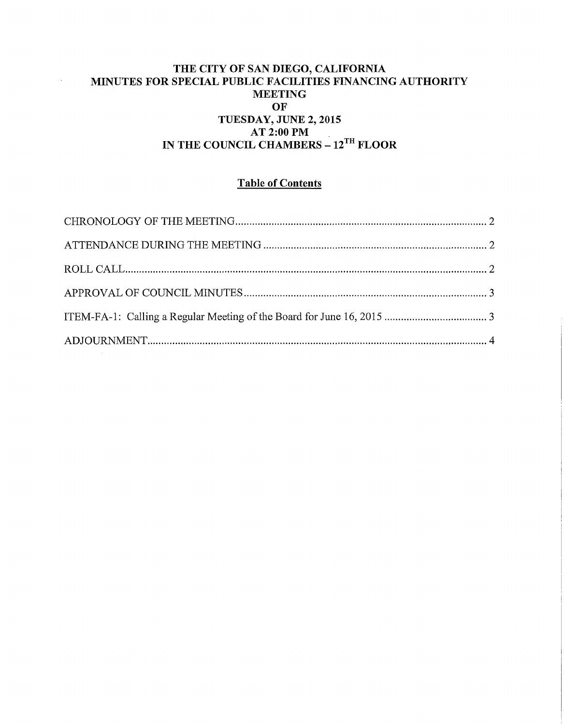### THE CITY OF SAN DIEGO, CALIFORNIA MINUTES FOR SPECIAL PUBLIC FACILITIES FINANCING AUTHORITY **MEETING** OF TUESDAY, JUNE 2, 2015 AT 2:00PM IN THE COUNCIL CHAMBERS~ 12™ FLOOR

 $\hat{\boldsymbol{\cdot}$ 

## Table of Contents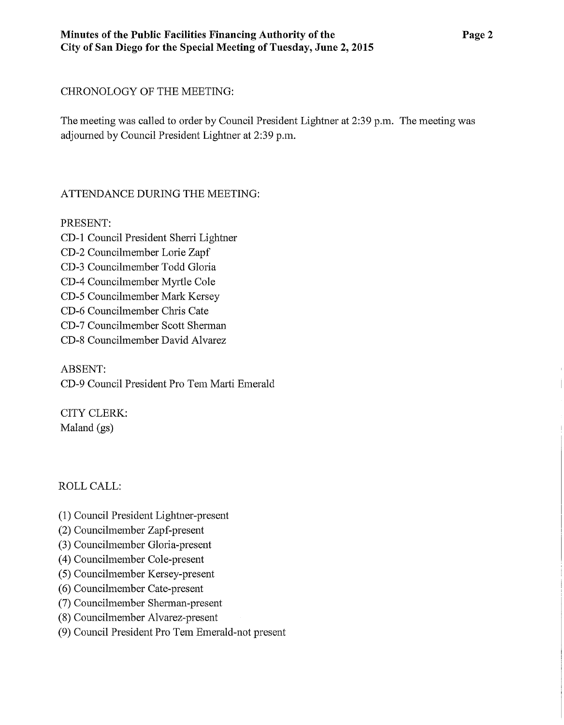## CHRONOLOGY OF THE MEETING:

The meeting was called to order by Council President Lightner at 2:39 p.m. The meeting was adjourned by Council President Lightner at 2:39 p.m.

# ATTENDANCE DURING THE MEETING:

PRESENT:

CD-1 Council President Sherri Lightner CD-2 Councilmember Lorie Zapf CD-3 Councilmember Todd Gloria CD-4 Councilmember Myrtle Cole CD-5 Councilmember Mark Kersey CD-6 Councilmember Chris Cate CD-7 Councilmember Scott Shennan CD-8 Councilmember David Alvarez

ABSENT: CD-9 Council President Pro Tem Marti Emerald

CITY CLERK: Maland (gs)

# ROLLCALL:

- ( 1) Council President Lightner-present
- (2) Councilmember Zapf-present
- (3) Councilmember Gloria-present
- (4) Councilmember Cole-present
- (5) Councilmember Kersey-present
- (6) Councilmember Cate-present
- (7) Councilmember Sherman-present
- (8) Councilmember Alvarez-present
- (9) Council President Pro Tem Emerald-not present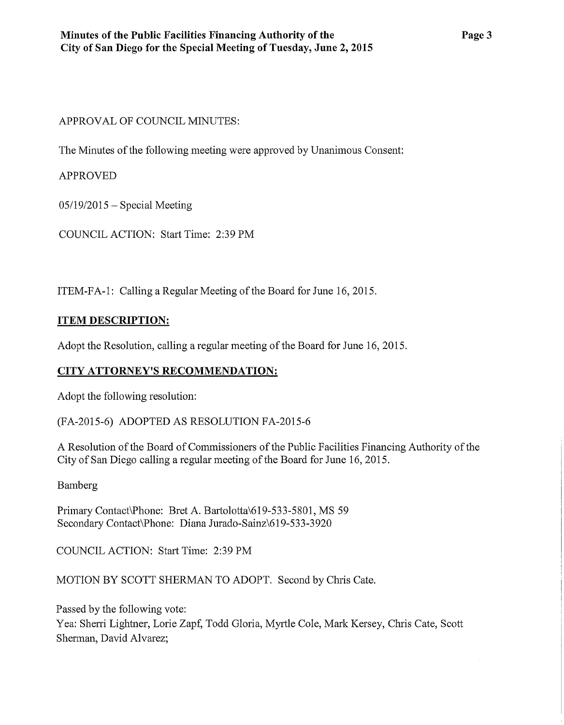#### APPROVAL OF COUNCIL MINUTES:

The Minutes of the following meeting were approved by Unanimous Consent:

APPROVED

 $05/19/2015$  – Special Meeting

COUNCIL ACTION: Start Time: 2:39PM

ITEM-FA-1: Calling a Regular Meeting of the Board for June 16, 2015.

### **ITEM DESCRIPTION:**

Adopt the Resolution, calling a regular meeting of the Board for June 16, 2015.

# **CITY ATTORNEY'S RECOMMENDATION:**

Adopt the following resolution:

(FA-2015-6) ADOPTED AS RESOLUTION FA-2015-6

A Resolution of the Board of Commissioners of the Public Facilities Financing Authority of the City of San Diego calling a regular meeting of the Board for June 16, 2015.

Bamberg

Primary Contact\Phone: Bret A. Bartolotta\619-533-5801, MS 59 Secondary Contact\Phone: Diana Jurado-Sainz\619-533-3920

COUNCIL ACTION: Start Time: 2:39PM

MOTION BY SCOTT SHERMAN TO ADOPT. Second by Chris Cate.

Passed by the following vote:

Yea: Sherri Lightner, Lorie Zapf, Todd Gloria, Myrtle Cole, Mark Kersey, Chris Cate, Scott Sherman, David Alvarez;